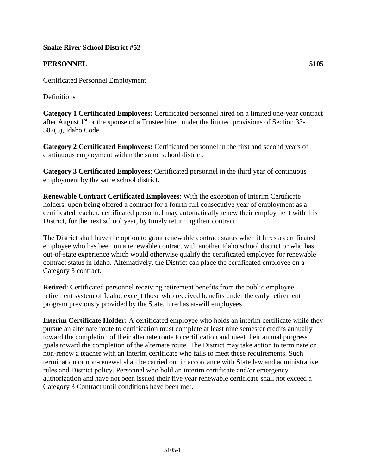### **Snake River School District #52**

## **PERSONNEL 5105**

Certificated Personnel Employment

Definitions

**Category 1 Certificated Employees:** Certificated personnel hired on a limited one-year contract after August  $1<sup>st</sup>$  or the spouse of a Trustee hired under the limited provisions of Section 33-507(3), Idaho Code.

**Category 2 Certificated Employees:** Certificated personnel in the first and second years of continuous employment within the same school district.

**Category 3 Certificated Employees**: Certificated personnel in the third year of continuous employment by the same school district.

**Renewable Contract Certificated Employees**: With the exception of Interim Certificate holders, upon being offered a contract for a fourth full consecutive year of employment as a certificated teacher, certificated personnel may automatically renew their employment with this District, for the next school year, by timely returning their contract.

The District shall have the option to grant renewable contract status when it hires a certificated employee who has been on a renewable contract with another Idaho school district or who has out-of-state experience which would otherwise qualify the certificated employee for renewable contract status in Idaho. Alternatively, the District can place the certificated employee on a Category 3 contract.

**Retired**: Certificated personnel receiving retirement benefits from the public employee retirement system of Idaho, except those who received benefits under the early retirement program previously provided by the State, hired as at-will employees.

**Interim Certificate Holder:** A certificated employee who holds an interim certificate while they pursue an alternate route to certification must complete at least nine semester credits annually toward the completion of their alternate route to certification and meet their annual progress goals toward the completion of the alternate route. The District may take action to terminate or non-renew a teacher with an interim certificate who fails to meet these requirements. Such termination or non-renewal shall be carried out in accordance with State law and administrative rules and District policy. Personnel who hold an interim certificate and/or emergency authorization and have not been issued their five year renewable certificate shall not exceed a Category 3 Contract until conditions have been met.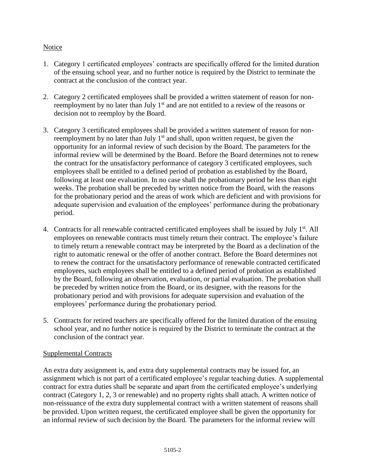## **Notice**

- 1. Category 1 certificated employees' contracts are specifically offered for the limited duration of the ensuing school year, and no further notice is required by the District to terminate the contract at the conclusion of the contract year.
- 2. Category 2 certificated employees shall be provided a written statement of reason for nonreemployment by no later than July  $1<sup>st</sup>$  and are not entitled to a review of the reasons or decision not to reemploy by the Board.
- 3. Category 3 certificated employees shall be provided a written statement of reason for nonreemployment by no later than July  $1<sup>st</sup>$  and shall, upon written request, be given the opportunity for an informal review of such decision by the Board. The parameters for the informal review will be determined by the Board. Before the Board determines not to renew the contract for the unsatisfactory performance of category 3 certificated employees, such employees shall be entitled to a defined period of probation as established by the Board, following at least one evaluation. In no case shall the probationary period be less than eight weeks. The probation shall be preceded by written notice from the Board, with the reasons for the probationary period and the areas of work which are deficient and with provisions for adequate supervision and evaluation of the employees' performance during the probationary period.
- 4. Contracts for all renewable contracted certificated employees shall be issued by July 1<sup>st</sup>. All employees on renewable contracts must timely return their contract. The employee's failure to timely return a renewable contract may be interpreted by the Board as a declination of the right to automatic renewal or the offer of another contract. Before the Board determines not to renew the contract for the unsatisfactory performance of renewable contracted certificated employees, such employees shall be entitled to a defined period of probation as established by the Board, following an observation, evaluation, or partial evaluation. The probation shall be preceded by written notice from the Board, or its designee, with the reasons for the probationary period and with provisions for adequate supervision and evaluation of the employees' performance during the probationary period.
- 5. Contracts for retired teachers are specifically offered for the limited duration of the ensuing school year, and no further notice is required by the District to terminate the contract at the conclusion of the contract year.

# Supplemental Contracts

An extra duty assignment is, and extra duty supplemental contracts may be issued for, an assignment which is not part of a certificated employee's regular teaching duties. A supplemental contract for extra duties shall be separate and apart from the certificated employee's underlying contract (Category 1, 2, 3 or renewable) and no property rights shall attach. A written notice of non-reissuance of the extra duty supplemental contract with a written statement of reasons shall be provided. Upon written request, the certificated employee shall be given the opportunity for an informal review of such decision by the Board. The parameters for the informal review will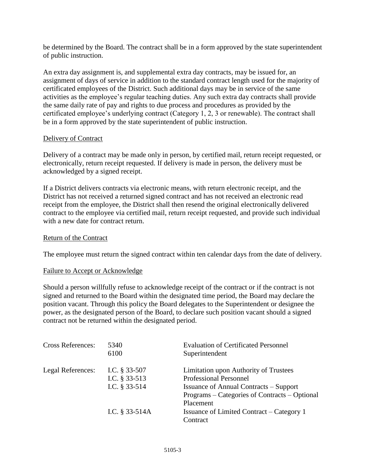be determined by the Board. The contract shall be in a form approved by the state superintendent of public instruction.

An extra day assignment is, and supplemental extra day contracts, may be issued for, an assignment of days of service in addition to the standard contract length used for the majority of certificated employees of the District. Such additional days may be in service of the same activities as the employee's regular teaching duties. Any such extra day contracts shall provide the same daily rate of pay and rights to due process and procedures as provided by the certificated employee's underlying contract (Category 1, 2, 3 or renewable). The contract shall be in a form approved by the state superintendent of public instruction.

## Delivery of Contract

Delivery of a contract may be made only in person, by certified mail, return receipt requested, or electronically, return receipt requested. If delivery is made in person, the delivery must be acknowledged by a signed receipt.

If a District delivers contracts via electronic means, with return electronic receipt, and the District has not received a returned signed contract and has not received an electronic read receipt from the employee, the District shall then resend the original electronically delivered contract to the employee via certified mail, return receipt requested, and provide such individual with a new date for contract return.

### Return of the Contract

The employee must return the signed contract within ten calendar days from the date of delivery.

### Failure to Accept or Acknowledge

Should a person willfully refuse to acknowledge receipt of the contract or if the contract is not signed and returned to the Board within the designated time period, the Board may declare the position vacant. Through this policy the Board delegates to the Superintendent or designee the power, as the designated person of the Board, to declare such position vacant should a signed contract not be returned within the designated period.

| <b>Cross References:</b> | 5340<br>6100                   | <b>Evaluation of Certificated Personnel</b><br>Superintendent                                               |
|--------------------------|--------------------------------|-------------------------------------------------------------------------------------------------------------|
| Legal References:        | I.C. § 33-507<br>I.C. § 33-513 | Limitation upon Authority of Trustees<br><b>Professional Personnel</b>                                      |
|                          | I.C. § 33-514                  | <b>Issuance of Annual Contracts – Support</b><br>Programs – Categories of Contracts – Optional<br>Placement |
|                          | I.C. § 33-514A                 | <b>Issuance of Limited Contract – Category 1</b><br>Contract                                                |